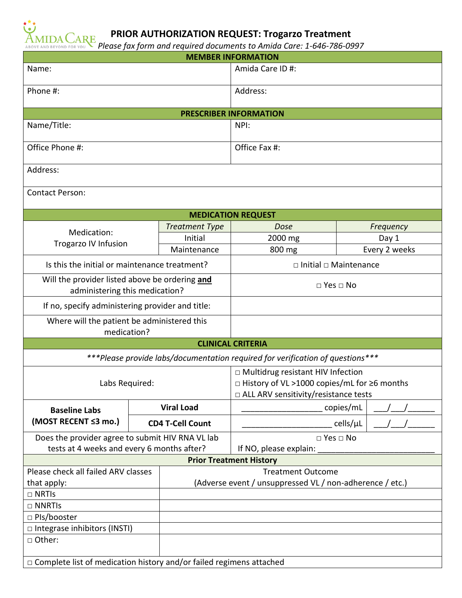

## **PRIOR AUTHORIZATION REQUEST: Trogarzo Treatment**

*Please fax form and required documents to Amida Care: 1-646-786-0997*

| <b>MEMBER INFORMATION</b>                                                                      |  |                                                          |                                                                                                                                |               |
|------------------------------------------------------------------------------------------------|--|----------------------------------------------------------|--------------------------------------------------------------------------------------------------------------------------------|---------------|
| Name:                                                                                          |  | Amida Care ID #:                                         |                                                                                                                                |               |
| Phone #:                                                                                       |  |                                                          | Address:                                                                                                                       |               |
| <b>PRESCRIBER INFORMATION</b>                                                                  |  |                                                          |                                                                                                                                |               |
| Name/Title:                                                                                    |  |                                                          | NPI:                                                                                                                           |               |
| Office Phone #:                                                                                |  |                                                          | Office Fax #:                                                                                                                  |               |
| Address:                                                                                       |  |                                                          |                                                                                                                                |               |
| <b>Contact Person:</b>                                                                         |  |                                                          |                                                                                                                                |               |
| <b>MEDICATION REQUEST</b>                                                                      |  |                                                          |                                                                                                                                |               |
|                                                                                                |  | <b>Treatment Type</b>                                    | Dose                                                                                                                           | Frequency     |
| Medication:                                                                                    |  | Initial                                                  | 2000 mg                                                                                                                        | Day 1         |
| Trogarzo IV Infusion                                                                           |  | Maintenance                                              | 800 mg                                                                                                                         | Every 2 weeks |
| Is this the initial or maintenance treatment?                                                  |  |                                                          | $\Box$ Initial $\Box$ Maintenance                                                                                              |               |
| Will the provider listed above be ordering and<br>administering this medication?               |  |                                                          | $\Box$ Yes $\Box$ No                                                                                                           |               |
| If no, specify administering provider and title:                                               |  |                                                          |                                                                                                                                |               |
| Where will the patient be administered this<br>medication?                                     |  |                                                          |                                                                                                                                |               |
| <b>CLINICAL CRITERIA</b>                                                                       |  |                                                          |                                                                                                                                |               |
| ***Please provide labs/documentation required for verification of questions***                 |  |                                                          |                                                                                                                                |               |
| Labs Required:                                                                                 |  |                                                          | □ Multidrug resistant HIV Infection<br>□ History of VL >1000 copies/mL for ≥6 months<br>□ ALL ARV sensitivity/resistance tests |               |
| <b>Baseline Labs</b>                                                                           |  | <b>Viral Load</b>                                        | copies/mL                                                                                                                      |               |
| (MOST RECENT ≤3 mo.)                                                                           |  | <b>CD4 T-Cell Count</b>                                  | cells/µL                                                                                                                       |               |
| Does the provider agree to submit HIV RNA VL lab<br>tests at 4 weeks and every 6 months after? |  |                                                          | $\Box$ Yes $\Box$ No<br>If NO, please explain:                                                                                 |               |
| <b>Prior Treatment History</b>                                                                 |  |                                                          |                                                                                                                                |               |
| Please check all failed ARV classes                                                            |  |                                                          | <b>Treatment Outcome</b>                                                                                                       |               |
| that apply:                                                                                    |  | (Adverse event / unsuppressed VL / non-adherence / etc.) |                                                                                                                                |               |
| $\Box$ NRTIs                                                                                   |  |                                                          |                                                                                                                                |               |
| $\Box$ NNRTIs                                                                                  |  |                                                          |                                                                                                                                |               |
| □ Pls/booster                                                                                  |  |                                                          |                                                                                                                                |               |
| $\Box$ Integrase inhibitors (INSTI)                                                            |  |                                                          |                                                                                                                                |               |
| □ Other:                                                                                       |  |                                                          |                                                                                                                                |               |
| □ Complete list of medication history and/or failed regimens attached                          |  |                                                          |                                                                                                                                |               |